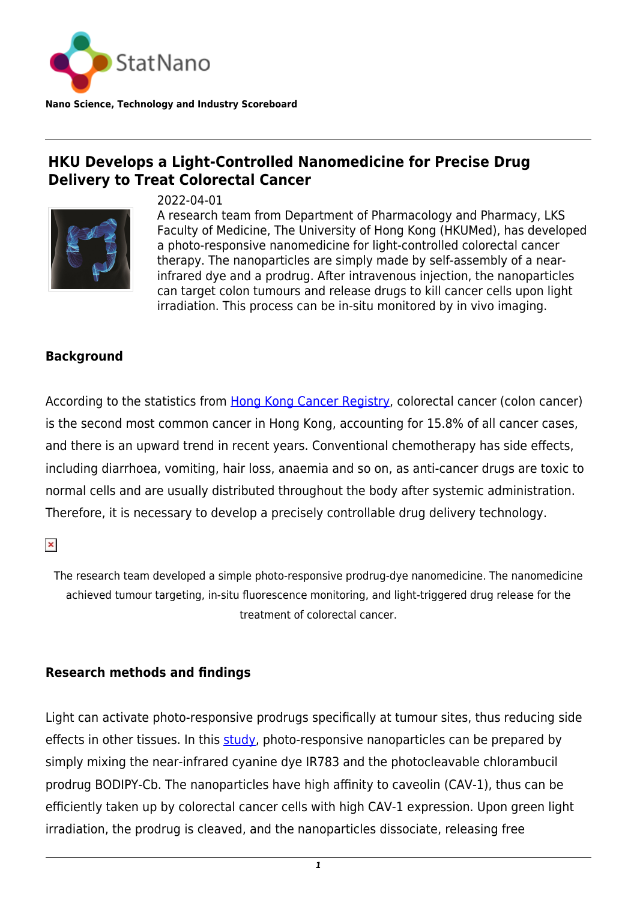

**Nano Science, Technology and Industry Scoreboard**

## **HKU Develops a Light-Controlled Nanomedicine for Precise Drug Delivery to Treat Colorectal Cancer**



2022-04-01

A research team from Department of Pharmacology and Pharmacy, LKS Faculty of Medicine, The University of Hong Kong (HKUMed), has developed a photo-responsive nanomedicine for light-controlled colorectal cancer therapy. The nanoparticles are simply made by self-assembly of a nearinfrared dye and a prodrug. After intravenous injection, the nanoparticles can target colon tumours and release drugs to kill cancer cells upon light irradiation. This process can be in-situ monitored by in vivo imaging.

## **Background**

According to the statistics from [Hong Kong Cancer Registry](https://www3.ha.org.hk/cancereg/), colorectal cancer (colon cancer) is the second most common cancer in Hong Kong, accounting for 15.8% of all cancer cases, and there is an upward trend in recent years. Conventional chemotherapy has side effects, including diarrhoea, vomiting, hair loss, anaemia and so on, as anti-cancer drugs are toxic to normal cells and are usually distributed throughout the body after systemic administration. Therefore, it is necessary to develop a precisely controllable drug delivery technology.

 $\pmb{\times}$ 

The research team developed a simple photo-responsive prodrug-dye nanomedicine. The nanomedicine achieved tumour targeting, in-situ fluorescence monitoring, and light-triggered drug release for the treatment of colorectal cancer.

## **Research methods and findings**

Light can activate photo-responsive prodrugs specifically at tumour sites, thus reducing side effects in other tissues. In this [study,](https://aiche.onlinelibrary.wiley.com/doi/10.1002/btm2.10311) photo-responsive nanoparticles can be prepared by simply mixing the near-infrared cyanine dye IR783 and the photocleavable chlorambucil prodrug BODIPY-Cb. The nanoparticles have high affinity to caveolin (CAV-1), thus can be efficiently taken up by colorectal cancer cells with high CAV-1 expression. Upon green light irradiation, the prodrug is cleaved, and the nanoparticles dissociate, releasing free